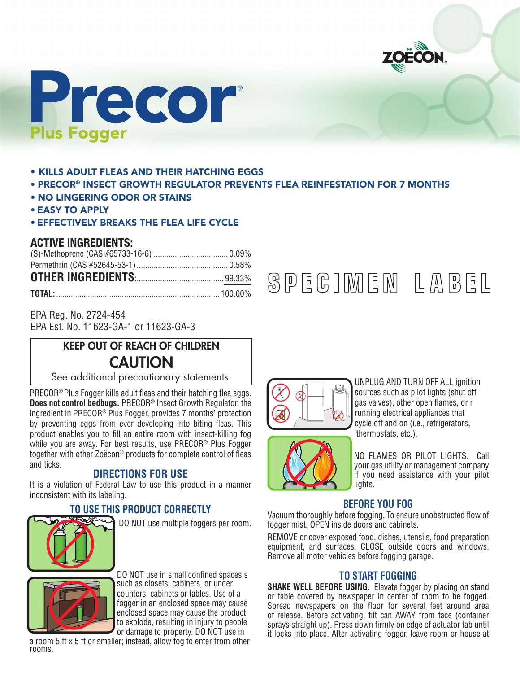



- KILLS ADULT FLEAS AND THEIR HATCHING EGGS
- PRECOR® INSECT GROWTH REGULATOR PREVENTS FLEA REINFESTATION FOR 7 MONTHS
- NO LINGERING ODOR OR STAINS
- EASY TO APPLY
- EFFECTIVELY BREAKS THE FLEA LIFE CYCLE

## **ACTIVE INGREDIENTS:**

| <b>OTHER INGREDIENTS</b> [ <i>mmmmmmmmmmmmm</i> 99.33% |  |
|--------------------------------------------------------|--|
|                                                        |  |

EPA Reg. No. 2724-454 EPA Est. No. 11623-GA-1 or 11623-GA-3

# KEEP OUT OF REACH OF CHILDREN **CAUTION**

See additional precautionary statements.

PRECOR® Plus Fogger kills adult fleas and their hatching flea eggs. **Does not control bedbugs.** PRECOR® Insect Growth Regulator, the ingredient in PRECOR® Plus Fogger, provides 7 months' protection by preventing eggs from ever developing into biting fleas. This product enables you to fill an entire room with insect-killing fog while you are away. For best results, use PRECOR® Plus Fogger together with other Zoëcon® products for complete control of fleas and ticks.

## **DIRECTIONS FOR USE**

It is a violation of Federal Law to use this product in a manner inconsistent with its labeling.

# **TO USE THIS PRODUCT CORRECTLY**



DO NOT use multiple foggers per room.



 DO NOT use in small confined spaces s such as closets, cabinets, or under counters, cabinets or tables. Use of a fogger in an enclosed space may cause enclosed space may cause the product to explode, resulting in injury to people or damage to property. DO NOT use in

a room 5 ft x 5 ft or smaller; instead, allow fog to enter from other rooms.





UNPLUG AND TURN OFF ALL ignition sources such as pilot lights (shut off gas valves), other open flames, or r running electrical appliances that cycle off and on (i.e., refrigerators, thermostats, etc.).

NO FLAMES OR PILOT LIGHTS. Call your gas utility or management company if you need assistance with your pilot lights.

#### **BEFORE YOU FOG**

Vacuum thoroughly before fogging. To ensure unobstructed flow of fogger mist, OPEN inside doors and cabinets.

REMOVE or cover exposed food, dishes, utensils, food preparation equipment, and surfaces. CLOSE outside doors and windows. Remove all motor vehicles before fogging garage.

## **TO START FOGGING**

**SHAKE WELL BEFORE USING.** Elevate fogger by placing on stand or table covered by newspaper in center of room to be fogged. Spread newspapers on the floor for several feet around area of release. Before activating, tilt can AWAY from face (container sprays straight up). Press down firmly on edge of actuator tab until it locks into place. After activating fogger, leave room or house at